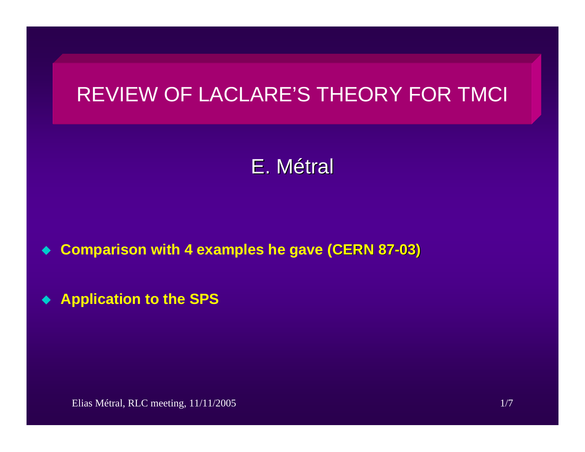# REVIEW OF LACLARE'S THEORY FOR TMCI

# E. Métral

- $\blacklozenge$ ◆ Comparison with 4 examples he gave (CERN 87-03)
- $\blacklozenge$ **Application to the SPS**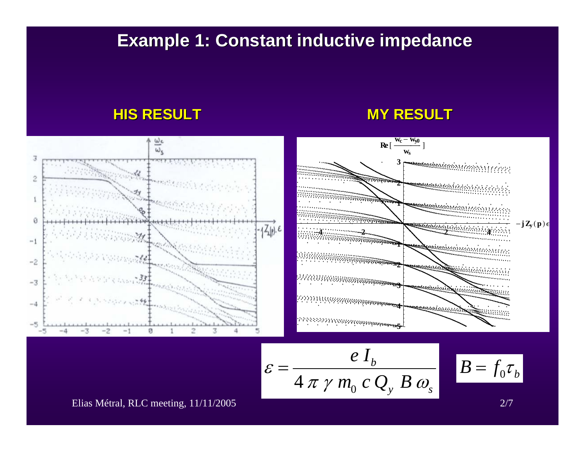## **Example 1: Constant inductive impedance Example 1: Constant inductive impedance**

#### **HIS RESULT HIS RESULT**

#### **MY RESULT MY RESULT**

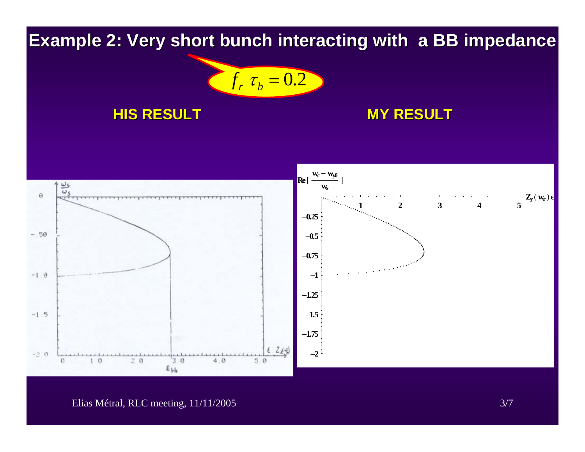**Example 2: Very short bunch interacting with a BB impedance** 

$$
f_r \tau_b = 0.2
$$

#### **HIS RESULT HIS RESULT**

### **MY RESULT MY RESULT**



#### Elias Métral, RLC meeting, 11/11/2005 3/7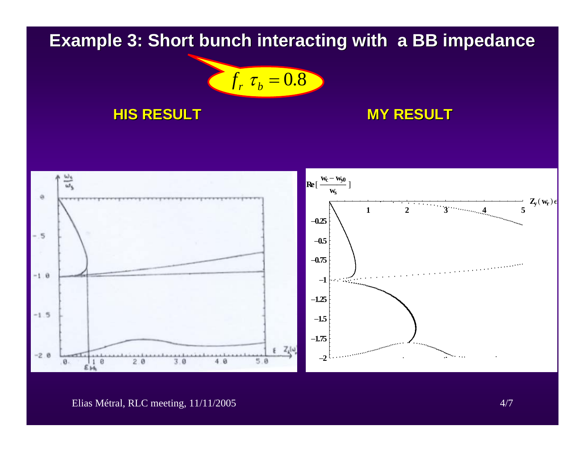## **Example 3: Short bunch interacting with a BB impedance**

$$
f_r \tau_b = 0.8
$$

### **HIS RESULT HIS RESULT**

### **MY RESULT MY RESULT**



#### Elias Métral, RLC meeting, 11/11/2005 4/7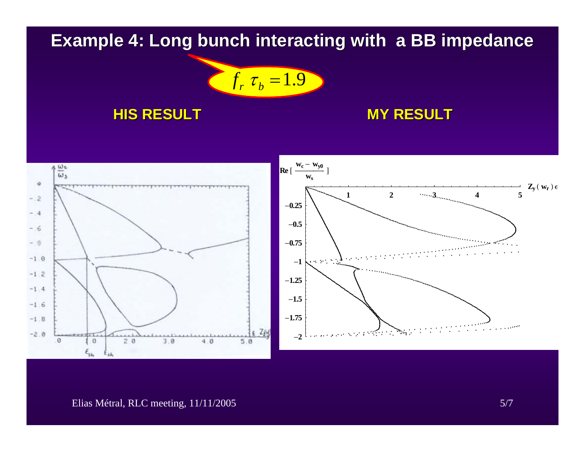# **Example 4: Long bunch interacting with a BB impedance**



#### **HIS RESULT HIS RESULT**

### **MY RESULT MY RESULT**



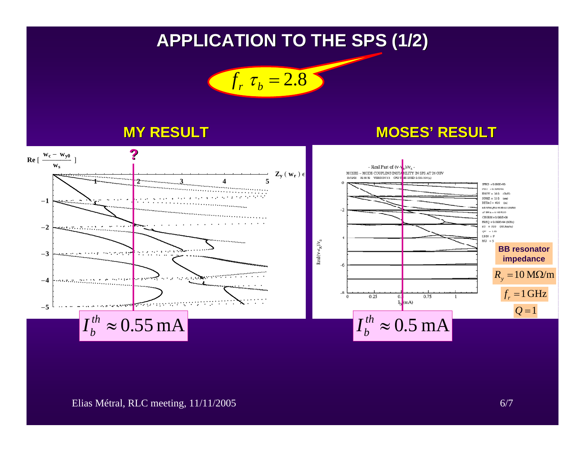# **APPLICATION TO THE SPS (1/2) APPLICATION TO THE SPS (1/2)**



#### **MY RESULT**

### **MOSES' RESULT**